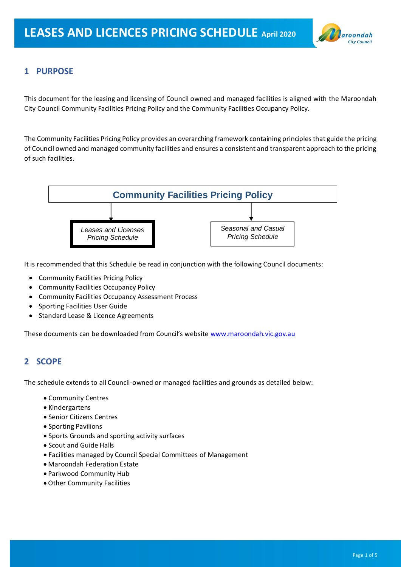

# **1 PURPOSE**

This document for the leasing and licensing of Council owned and managed facilities is aligned with the Maroondah City Council Community Facilities Pricing Policy and the Community Facilities Occupancy Policy.

The Community Facilities Pricing Policy provides an overarching framework containing principles that guide the pricing of Council owned and managed community facilities and ensures a consistent and transparent approach to the pricing of such facilities.



It is recommended that this Schedule be read in conjunction with the following Council documents:

- Community Facilities Pricing Policy
- Community Facilities Occupancy Policy
- Community Facilities Occupancy Assessment Process
- Sporting Facilities User Guide
- Standard Lease & Licence Agreements

These documents can be downloaded from Council's website [www.maroondah.vic.gov.au](http://www.maroondah.vic.gov.au/)

## **2 SCOPE**

The schedule extends to all Council-owned or managed facilities and grounds as detailed below:

- Community Centres
- Kindergartens
- Senior Citizens Centres
- Sporting Pavilions
- Sports Grounds and sporting activity surfaces
- Scout and Guide Halls
- Facilities managed by Council Special Committees of Management
- Maroondah Federation Estate
- Parkwood Community Hub
- Other Community Facilities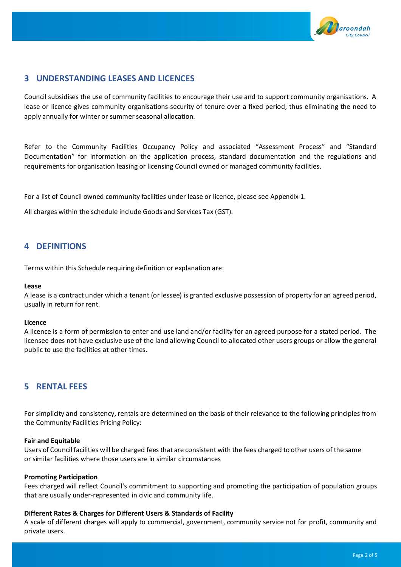

## **3 UNDERSTANDING LEASES AND LICENCES**

Council subsidises the use of community facilities to encourage their use and to support community organisations. A lease or licence gives community organisations security of tenure over a fixed period, thus eliminating the need to apply annually for winter or summer seasonal allocation.

Refer to the Community Facilities Occupancy Policy and associated "Assessment Process" and "Standard Documentation" for information on the application process, standard documentation and the regulations and requirements for organisation leasing or licensing Council owned or managed community facilities.

For a list of Council owned community facilities under lease or licence, please see Appendix 1.

All charges within the schedule include Goods and Services Tax (GST).

## **4 DEFINITIONS**

Terms within this Schedule requiring definition or explanation are:

#### **Lease**

A lease is a contract under which a tenant (or lessee) is granted exclusive possession of property for an agreed period, usually in return for rent.

#### **Licence**

A licence is a form of permission to enter and use land and/or facility for an agreed purpose for a stated period. The licensee does not have exclusive use of the land allowing Council to allocated other users groups or allow the general public to use the facilities at other times.

## **5 RENTAL FEES**

For simplicity and consistency, rentals are determined on the basis of their relevance to the following principles from the Community Facilities Pricing Policy:

### **Fair and Equitable**

Users of Council facilities will be charged fees that are consistent with the fees charged to other users of the same or similar facilities where those users are in similar circumstances

### **Promoting Participation**

Fees charged will reflect Council's commitment to supporting and promoting the participation of population groups that are usually under-represented in civic and community life.

### **Different Rates & Charges for Different Users & Standards of Facility**

A scale of different charges will apply to commercial, government, community service not for profit, community and private users.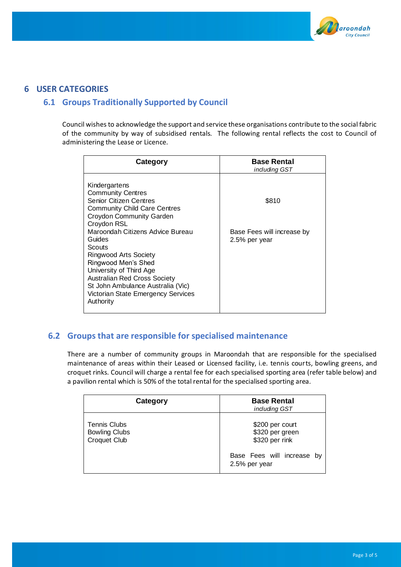

## **6 USER CATEGORIES**

# **6.1 Groups Traditionally Supported by Council**

Council wishes to acknowledge the support and service these organisations contribute to the social fabric of the community by way of subsidised rentals. The following rental reflects the cost to Council of administering the Lease or Licence.

| Category                                                                                                                                                                                                                                                                                                                                                                                                                              | <b>Base Rental</b><br>including GST                  |
|---------------------------------------------------------------------------------------------------------------------------------------------------------------------------------------------------------------------------------------------------------------------------------------------------------------------------------------------------------------------------------------------------------------------------------------|------------------------------------------------------|
| Kindergartens<br><b>Community Centres</b><br><b>Senior Citizen Centres</b><br><b>Community Child Care Centres</b><br><b>Croydon Community Garden</b><br>Croydon RSL<br>Maroondah Citizens Advice Bureau<br>Guides<br>Scouts<br>Ringwood Arts Society<br>Ringwood Men's Shed<br>University of Third Age<br><b>Australian Red Cross Society</b><br>St John Ambulance Australia (Vic)<br>Victorian State Emergency Services<br>Authority | \$810<br>Base Fees will increase by<br>2.5% per year |

## **6.2 Groups that are responsible for specialised maintenance**

There are a number of community groups in Maroondah that are responsible for the specialised maintenance of areas within their Leased or Licensed facility, i.e. tennis courts, bowling greens, and croquet rinks. Council will charge a rental fee for each specialised sporting area (refer table below) and a pavilion rental which is 50% of the total rental for the specialised sporting area.

| Category                                                    | <b>Base Rental</b><br>including GST                  |
|-------------------------------------------------------------|------------------------------------------------------|
| <b>Tennis Clubs</b><br><b>Bowling Clubs</b><br>Croquet Club | \$200 per court<br>\$320 per green<br>\$320 per rink |
|                                                             | Base Fees will increase by<br>2.5% per year          |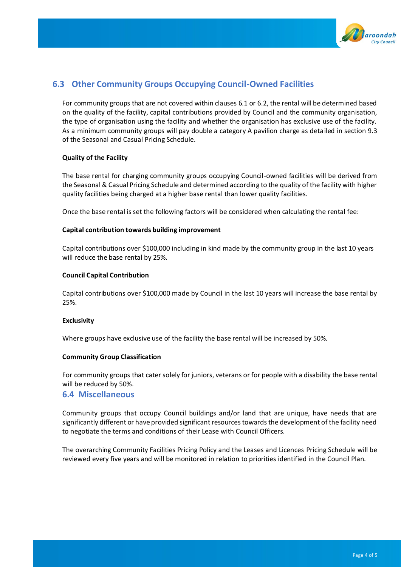

# **6.3 Other Community Groups Occupying Council-Owned Facilities**

For community groups that are not covered within clauses 6.1 or 6.2, the rental will be determined based on the quality of the facility, capital contributions provided by Council and the community organisation, the type of organisation using the facility and whether the organisation has exclusive use of the facility. As a minimum community groups will pay double a category A pavilion charge as detailed in section 9.3 of the Seasonal and Casual Pricing Schedule.

## **Quality of the Facility**

The base rental for charging community groups occupying Council-owned facilities will be derived from the Seasonal & Casual Pricing Schedule and determined according to the quality of the facility with higher quality facilities being charged at a higher base rental than lower quality facilities.

Once the base rental is set the following factors will be considered when calculating the rental fee:

### **Capital contribution towards building improvement**

Capital contributions over \$100,000 including in kind made by the community group in the last 10 years will reduce the base rental by 25%.

### **Council Capital Contribution**

Capital contributions over \$100,000 made by Council in the last 10 years will increase the base rental by 25%.

#### **Exclusivity**

Where groups have exclusive use of the facility the base rental will be increased by 50%.

### **Community Group Classification**

For community groups that cater solely for juniors, veterans or for people with a disability the base rental will be reduced by 50%.

## **6.4 Miscellaneous**

Community groups that occupy Council buildings and/or land that are unique, have needs that are significantly different or have provided significant resources towards the development of the facility need to negotiate the terms and conditions of their Lease with Council Officers.

The overarching Community Facilities Pricing Policy and the Leases and Licences Pricing Schedule will be reviewed every five years and will be monitored in relation to priorities identified in the Council Plan.